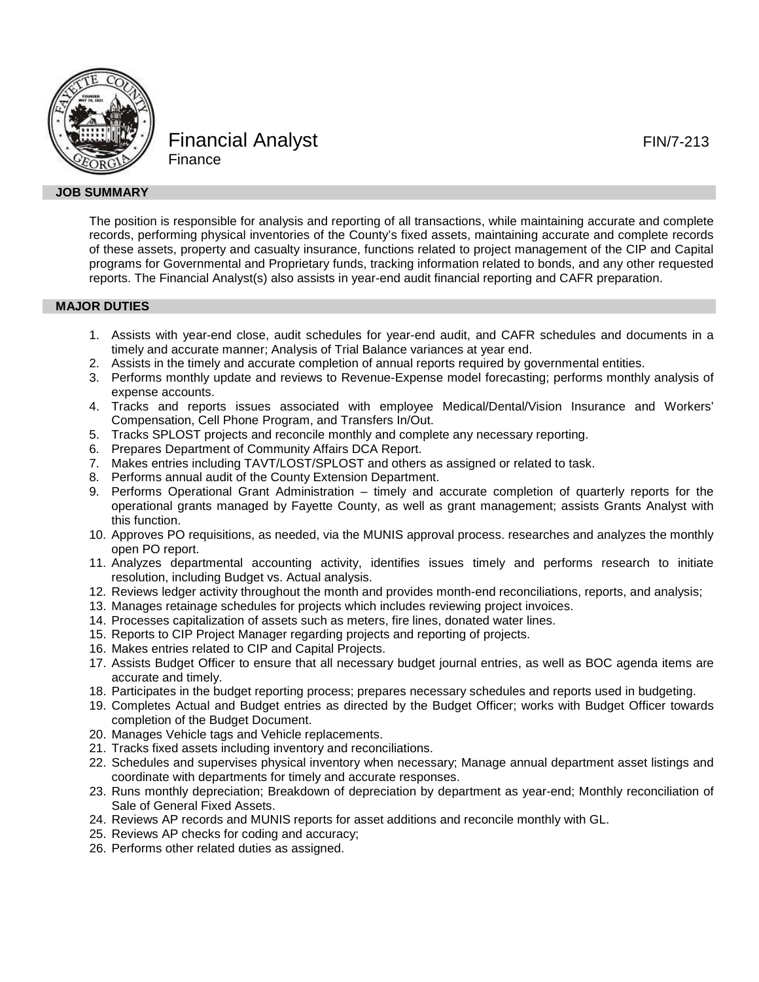

Financial Analyst **FIN/7-213 Finance** 

The position is responsible for analysis and reporting of all transactions, while maintaining accurate and complete records, performing physical inventories of the County's fixed assets, maintaining accurate and complete records of these assets, property and casualty insurance, functions related to project management of the CIP and Capital programs for Governmental and Proprietary funds, tracking information related to bonds, and any other requested reports. The Financial Analyst(s) also assists in year-end audit financial reporting and CAFR preparation.

# **MAJOR DUTIES**

- 1. Assists with year-end close, audit schedules for year-end audit, and CAFR schedules and documents in a timely and accurate manner; Analysis of Trial Balance variances at year end.
- 2. Assists in the timely and accurate completion of annual reports required by governmental entities.
- 3. Performs monthly update and reviews to Revenue-Expense model forecasting; performs monthly analysis of expense accounts.
- 4. Tracks and reports issues associated with employee Medical/Dental/Vision Insurance and Workers' Compensation, Cell Phone Program, and Transfers In/Out.
- 5. Tracks SPLOST projects and reconcile monthly and complete any necessary reporting.
- 6. Prepares Department of Community Affairs DCA Report.
- 7. Makes entries including TAVT/LOST/SPLOST and others as assigned or related to task.
- 8. Performs annual audit of the County Extension Department.
- 9. Performs Operational Grant Administration timely and accurate completion of quarterly reports for the operational grants managed by Fayette County, as well as grant management; assists Grants Analyst with this function.
- 10. Approves PO requisitions, as needed, via the MUNIS approval process. researches and analyzes the monthly open PO report.
- 11. Analyzes departmental accounting activity, identifies issues timely and performs research to initiate resolution, including Budget vs. Actual analysis.
- 12. Reviews ledger activity throughout the month and provides month-end reconciliations, reports, and analysis;
- 13. Manages retainage schedules for projects which includes reviewing project invoices.
- 14. Processes capitalization of assets such as meters, fire lines, donated water lines.
- 15. Reports to CIP Project Manager regarding projects and reporting of projects.
- 16. Makes entries related to CIP and Capital Projects.
- 17. Assists Budget Officer to ensure that all necessary budget journal entries, as well as BOC agenda items are accurate and timely.
- 18. Participates in the budget reporting process; prepares necessary schedules and reports used in budgeting.
- 19. Completes Actual and Budget entries as directed by the Budget Officer; works with Budget Officer towards completion of the Budget Document.
- 20. Manages Vehicle tags and Vehicle replacements.
- 21. Tracks fixed assets including inventory and reconciliations.
- 22. Schedules and supervises physical inventory when necessary; Manage annual department asset listings and coordinate with departments for timely and accurate responses.
- 23. Runs monthly depreciation; Breakdown of depreciation by department as year-end; Monthly reconciliation of Sale of General Fixed Assets.
- 24. Reviews AP records and MUNIS reports for asset additions and reconcile monthly with GL.
- 25. Reviews AP checks for coding and accuracy;
- 26. Performs other related duties as assigned.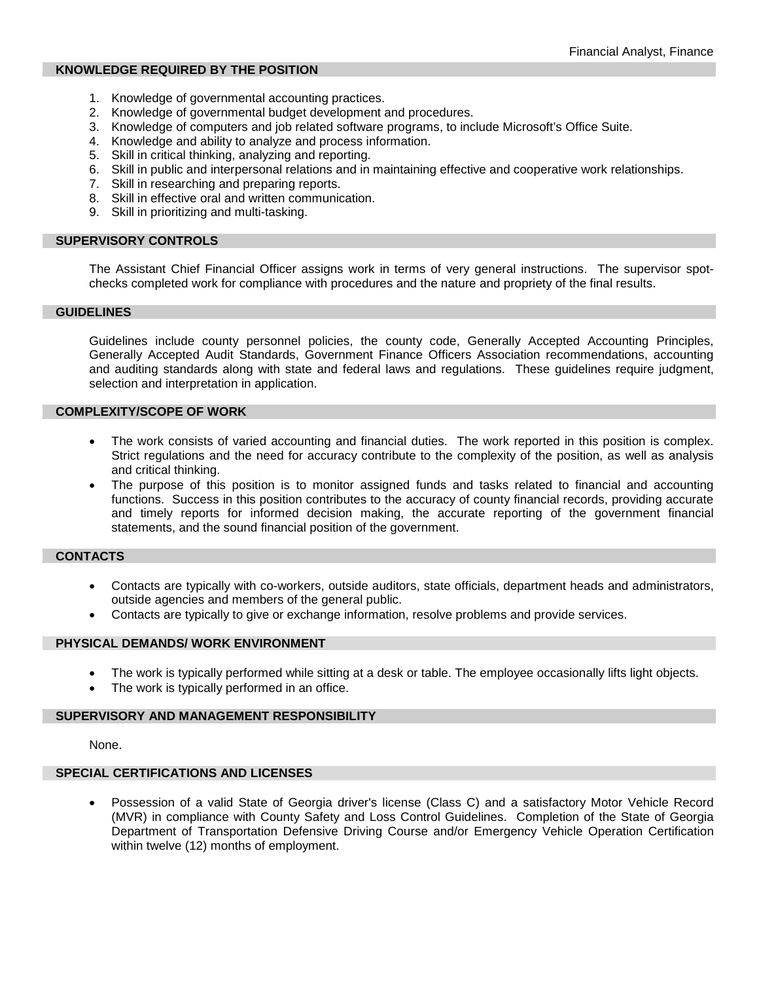# **KNOWLEDGE REQUIRED BY THE POSITION**

- 1. Knowledge of governmental accounting practices.
- 2. Knowledge of governmental budget development and procedures.
- 3. Knowledge of computers and job related software programs, to include Microsoft's Office Suite.
- 4. Knowledge and ability to analyze and process information.
- 5. Skill in critical thinking, analyzing and reporting.
- 6. Skill in public and interpersonal relations and in maintaining effective and cooperative work relationships.
- 7. Skill in researching and preparing reports.
- 8. Skill in effective oral and written communication.
- 9. Skill in prioritizing and multi-tasking.

# **SUPERVISORY CONTROLS**

The Assistant Chief Financial Officer assigns work in terms of very general instructions. The supervisor spotchecks completed work for compliance with procedures and the nature and propriety of the final results.

### **GUIDELINES**

Guidelines include county personnel policies, the county code, Generally Accepted Accounting Principles, Generally Accepted Audit Standards, Government Finance Officers Association recommendations, accounting and auditing standards along with state and federal laws and regulations. These guidelines require judgment, selection and interpretation in application.

## **COMPLEXITY/SCOPE OF WORK**

- The work consists of varied accounting and financial duties. The work reported in this position is complex. Strict regulations and the need for accuracy contribute to the complexity of the position, as well as analysis and critical thinking.
- The purpose of this position is to monitor assigned funds and tasks related to financial and accounting functions. Success in this position contributes to the accuracy of county financial records, providing accurate and timely reports for informed decision making, the accurate reporting of the government financial statements, and the sound financial position of the government.

# **CONTACTS**

- Contacts are typically with co-workers, outside auditors, state officials, department heads and administrators, outside agencies and members of the general public.
- Contacts are typically to give or exchange information, resolve problems and provide services.

### **PHYSICAL DEMANDS/ WORK ENVIRONMENT**

- The work is typically performed while sitting at a desk or table. The employee occasionally lifts light objects.
- The work is typically performed in an office.

# **SUPERVISORY AND MANAGEMENT RESPONSIBILITY**

None.

## **SPECIAL CERTIFICATIONS AND LICENSES**

• Possession of a valid State of Georgia driver's license (Class C) and a satisfactory Motor Vehicle Record (MVR) in compliance with County Safety and Loss Control Guidelines. Completion of the State of Georgia Department of Transportation Defensive Driving Course and/or Emergency Vehicle Operation Certification within twelve (12) months of employment.